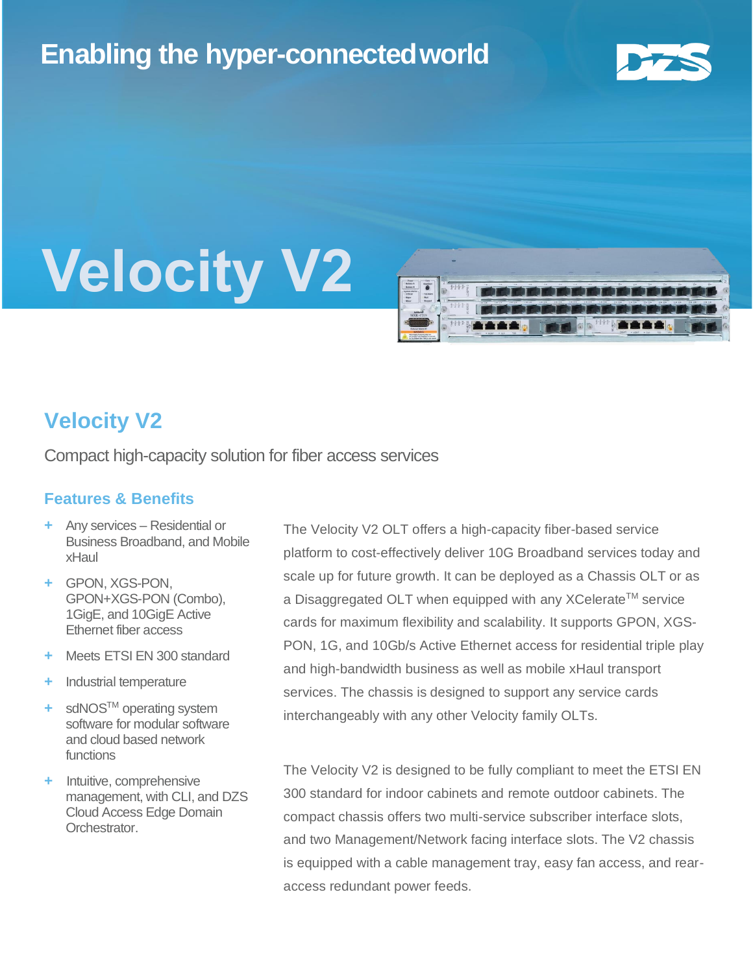## **Enabling the hyper-connectedworld**



# **Velocity V2**



### **Velocity V2**

Compact high-capacity solution for fiber access services

### **Features & Benefits**

- **+** Any services Residential or Business Broadband, and Mobile xHaul
- **+** GPON, XGS-PON, GPON+XGS-PON (Combo), 1GigE, and 10GigE Active Ethernet fiber access
- **+** Meets ETSI EN 300 standard
- **+** Industrial temperature
- **+** sdNOSTM operating system software for modular software and cloud based network functions
- **+** Intuitive, comprehensive management, with CLI, and DZS Cloud Access Edge Domain Orchestrator.

The Velocity V2 OLT offers a high-capacity fiber-based service platform to cost-effectively deliver 10G Broadband services today and scale up for future growth. It can be deployed as a Chassis OLT or as a Disaggregated OLT when equipped with any XCelerate™ service cards for maximum flexibility and scalability. It supports GPON, XGS-PON, 1G, and 10Gb/s Active Ethernet access for residential triple play and high-bandwidth business as well as mobile xHaul transport services. The chassis is designed to support any service cards interchangeably with any other Velocity family OLTs.

The Velocity V2 is designed to be fully compliant to meet the ETSI EN 300 standard for indoor cabinets and remote outdoor cabinets. The compact chassis offers two multi-service subscriber interface slots, and two Management/Network facing interface slots. The V2 chassis is equipped with a cable management tray, easy fan access, and rearaccess redundant power feeds.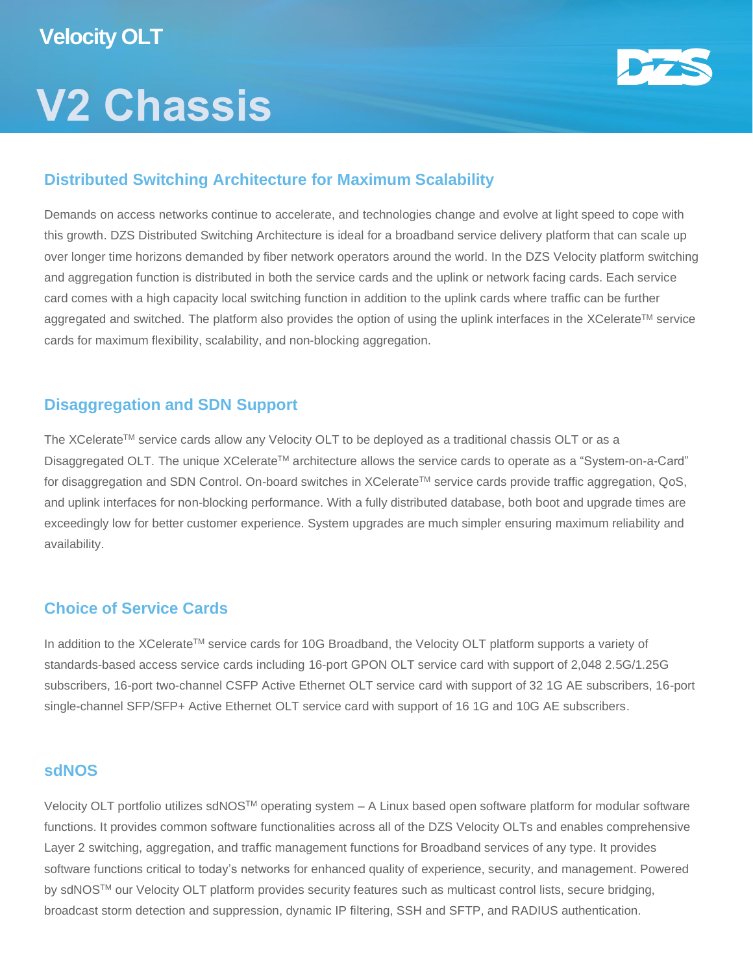## **V2 Chassis**



### **Distributed Switching Architecture for Maximum Scalability**

Demands on access networks continue to accelerate, and technologies change and evolve at light speed to cope with this growth. DZS Distributed Switching Architecture is ideal for a broadband service delivery platform that can scale up over longer time horizons demanded by fiber network operators around the world. In the DZS Velocity platform switching and aggregation function is distributed in both the service cards and the uplink or network facing cards. Each service card comes with a high capacity local switching function in addition to the uplink cards where traffic can be further aggregated and switched. The platform also provides the option of using the uplink interfaces in the XCelerate™ service cards for maximum flexibility, scalability, and non-blocking aggregation.

### **Disaggregation and SDN Support**

The XCelerate™ service cards allow any Velocity OLT to be deployed as a traditional chassis OLT or as a Disaggregated OLT. The unique XCelerate™ architecture allows the service cards to operate as a "System-on-a-Card" for disaggregation and SDN Control. On-board switches in XCelerate™ service cards provide traffic aggregation, QoS, and uplink interfaces for non-blocking performance. With a fully distributed database, both boot and upgrade times are exceedingly low for better customer experience. System upgrades are much simpler ensuring maximum reliability and availability.

### **Choice of Service Cards**

In addition to the XCelerate™ service cards for 10G Broadband, the Velocity OLT platform supports a variety of standards-based access service cards including 16-port GPON OLT service card with support of 2,048 2.5G/1.25G subscribers, 16-port two-channel CSFP Active Ethernet OLT service card with support of 32 1G AE subscribers, 16-port single-channel SFP/SFP+ Active Ethernet OLT service card with support of 16 1G and 10G AE subscribers.

### **sdNOS**

Velocity OLT portfolio utilizes sdNOSTM operating system – A Linux based open software platform for modular software functions. It provides common software functionalities across all of the DZS Velocity OLTs and enables comprehensive Layer 2 switching, aggregation, and traffic management functions for Broadband services of any type. It provides software functions critical to today's networks for enhanced quality of experience, security, and management. Powered by sdNOS™ our Velocity OLT platform provides security features such as multicast control lists, secure bridging, broadcast storm detection and suppression, dynamic IP filtering, SSH and SFTP, and RADIUS authentication.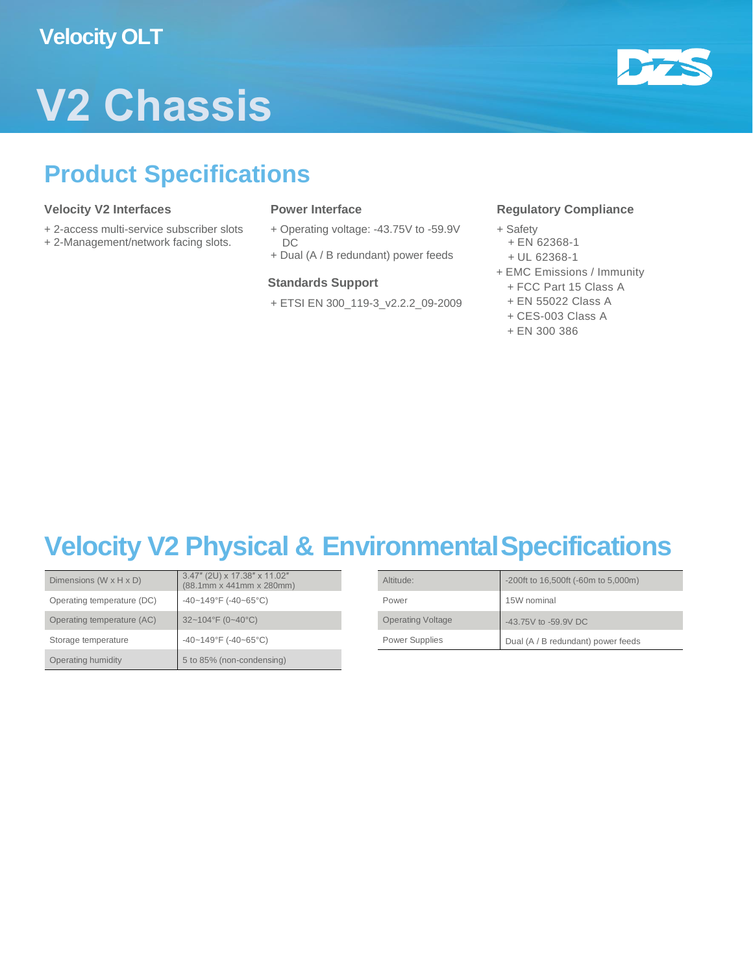

## **V2 Chassis**

## **Product Specifications**

### **Velocity V2 Interfaces**

- + 2-access multi-service subscriber slots
- + 2-Management/network facing slots.

#### **Power Interface**

- + Operating voltage: -43.75V to -59.9V DC
- + Dual (A / B redundant) power feeds

#### **Standards Support**

+ ETSI EN 300\_119-3\_v2.2.2\_09-2009

### **Regulatory Compliance**

- + Safety
	- + EN 62368-1
	- + UL 62368-1
- + EMC Emissions / Immunity
	- + FCC Part 15 Class A
	- + EN 55022 Class A
	- + CES-003 Class A
	- + EN 300 386

## **Velocity V2 Physical & EnvironmentalSpecifications**

| Dimensions $(W \times H \times D)$ | 3.47" (2U) x 17.38" x 11.02"<br>$(88.1$ mm x 441mm x 280mm) | Altitude:                | -200ft to 16,500ft (-60m to 5,000m) |
|------------------------------------|-------------------------------------------------------------|--------------------------|-------------------------------------|
| Operating temperature (DC)         | $-40-149^{\circ}F$ (-40~65°C)                               | Power                    | 15W nominal                         |
| Operating temperature (AC)         | $32 - 104$ °F (0~40°C)                                      | <b>Operating Voltage</b> | -43.75V to -59.9V DC                |
| Storage temperature                | $-40-149^{\circ}F$ (-40~65°C)                               | Power Supplies           | Dual (A / B redundant) power feeds  |
| Operating humidity                 | 5 to 85% (non-condensing)                                   |                          |                                     |

| 3.47" (2U) x 17.38" x 11.02"<br>(88.1mm x 441mm x 280mm) | Altitude:                | -200ft to 16,500ft (-60m to 5,000m) |
|----------------------------------------------------------|--------------------------|-------------------------------------|
| -40~149°F (-40~65°C)                                     | Power                    | 15W nominal                         |
| 32~104°F (0~40°C)                                        | <b>Operating Voltage</b> | -43.75V to -59.9V DC                |
| $-40 - 149$ °F (-40~65°C)                                | Power Supplies           | Dual (A / B redundant) power feeds  |